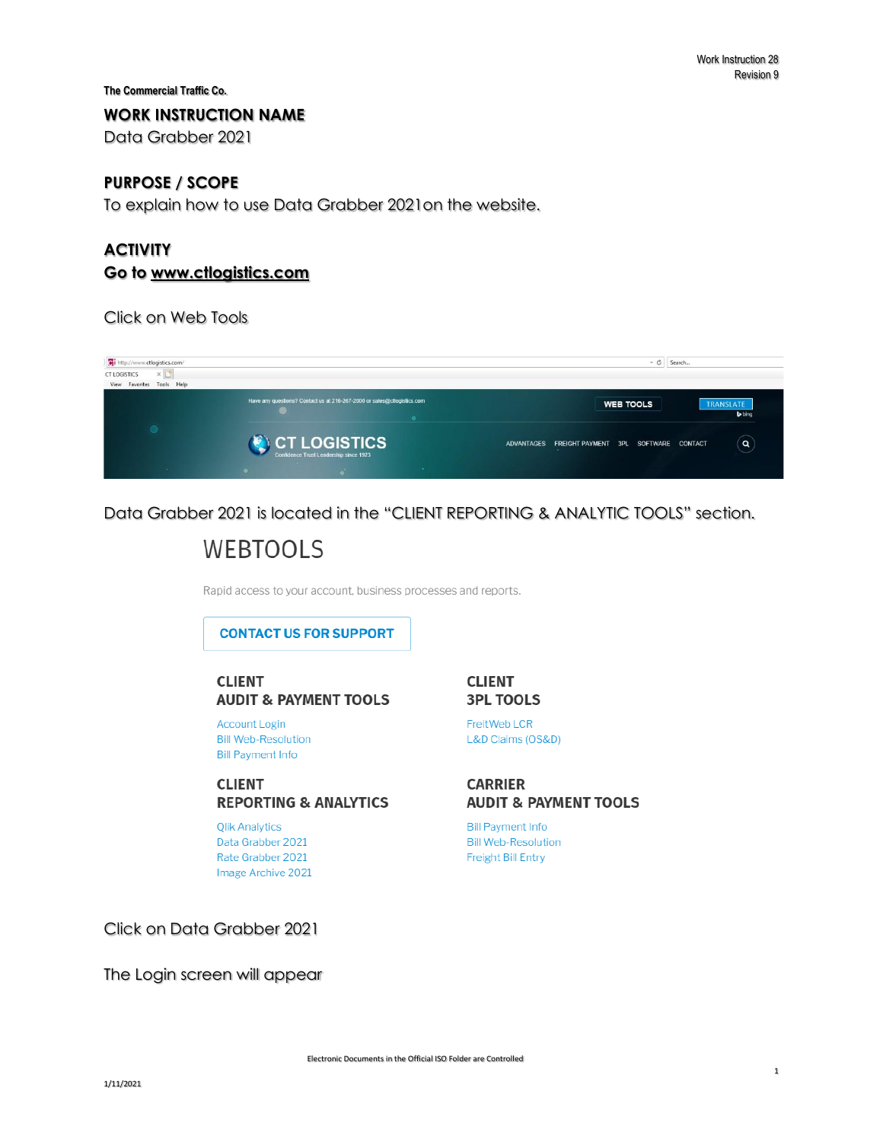**The Commercial Traffic Co. WORK INSTRUCTION NAME** 

Data Grabber 2021

## **PURPOSE / SCOPE**

To explain how to use Data Grabber 2021on the website.

# **ACTIVITY Go to [www.ctlogistics.com](http://www.ctlogistics.com/)**

Click on Web Tools



# Data Grabber 2021 is located in the "CLIENT REPORTING & ANALYTIC TOOLS" section.

# **WEBTOOLS**

Rapid access to your account, business processes and reports.

**CONTACT US FOR SUPPORT** 

## **CLIENT AUDIT & PAYMENT TOOLS**

**Account Login Bill Web-Resolution Bill Payment Info** 

**CLIENT REPORTING & ANALYTICS** 

**Qlik Analytics** Data Grabber 2021 Rate Grabber 2021 Image Archive 2021

### **CLIENT 3PL TOOLS**

FreitWeb LCR L&D Claims (OS&D)

**CARRIER AUDIT & PAYMENT TOOLS** 

**Bill Payment Info Bill Web-Resolution Freight Bill Entry** 

Click on Data Grabber 2021

The Login screen will appear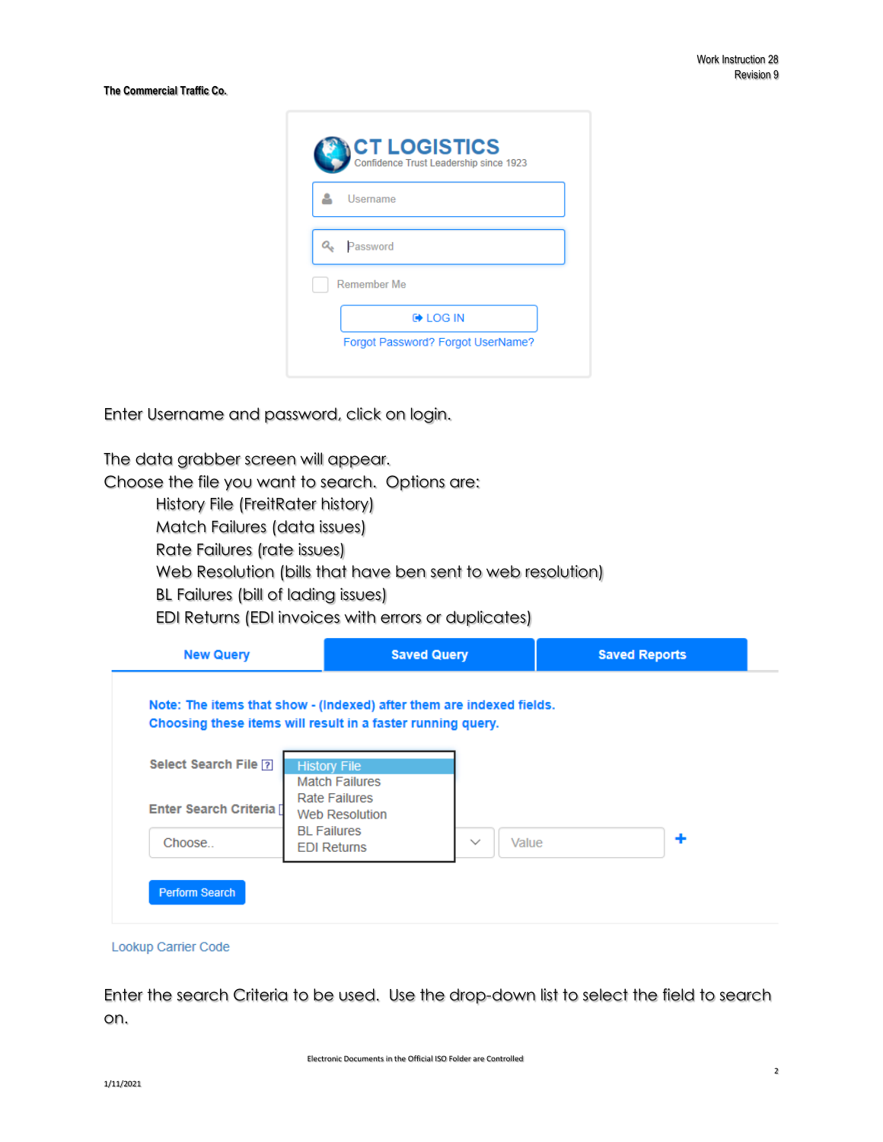**The Commercial Traffic Co.**

| CT LOGISTICS<br>Confidence Trust Leadership since 1923 |
|--------------------------------------------------------|
| Username                                               |
| Password                                               |
| Remember Me                                            |
| <b>E</b> LOG IN                                        |
| Forgot Password? Forgot UserName?                      |

Enter Username and password, click on login.

The data grabber screen will appear.

Choose the file you want to search. Options are:

History File (FreitRater history)

Match Failures (data issues)

Rate Failures (rate issues)

Web Resolution (bills that have ben sent to web resolution)

BL Failures (bill of lading issues)

EDI Returns (EDI invoices with errors or duplicates)

| Choosing these items will result in a faster running query. |                                               | Note: The items that show - (Indexed) after them are indexed fields. |   |
|-------------------------------------------------------------|-----------------------------------------------|----------------------------------------------------------------------|---|
|                                                             |                                               |                                                                      |   |
| Select Search File 7                                        | <b>History File</b>                           |                                                                      |   |
|                                                             | <b>Match Failures</b><br><b>Rate Failures</b> |                                                                      |   |
| <b>Enter Search Criteria F</b>                              | <b>Web Resolution</b>                         |                                                                      |   |
|                                                             | <b>BL</b> Failures                            |                                                                      | ٠ |
| Choose                                                      | <b>EDI Returns</b>                            | Value<br>$\checkmark$                                                |   |
|                                                             |                                               |                                                                      |   |

Lookup Carrier Code

Enter the search Criteria to be used. Use the drop-down list to select the field to search on.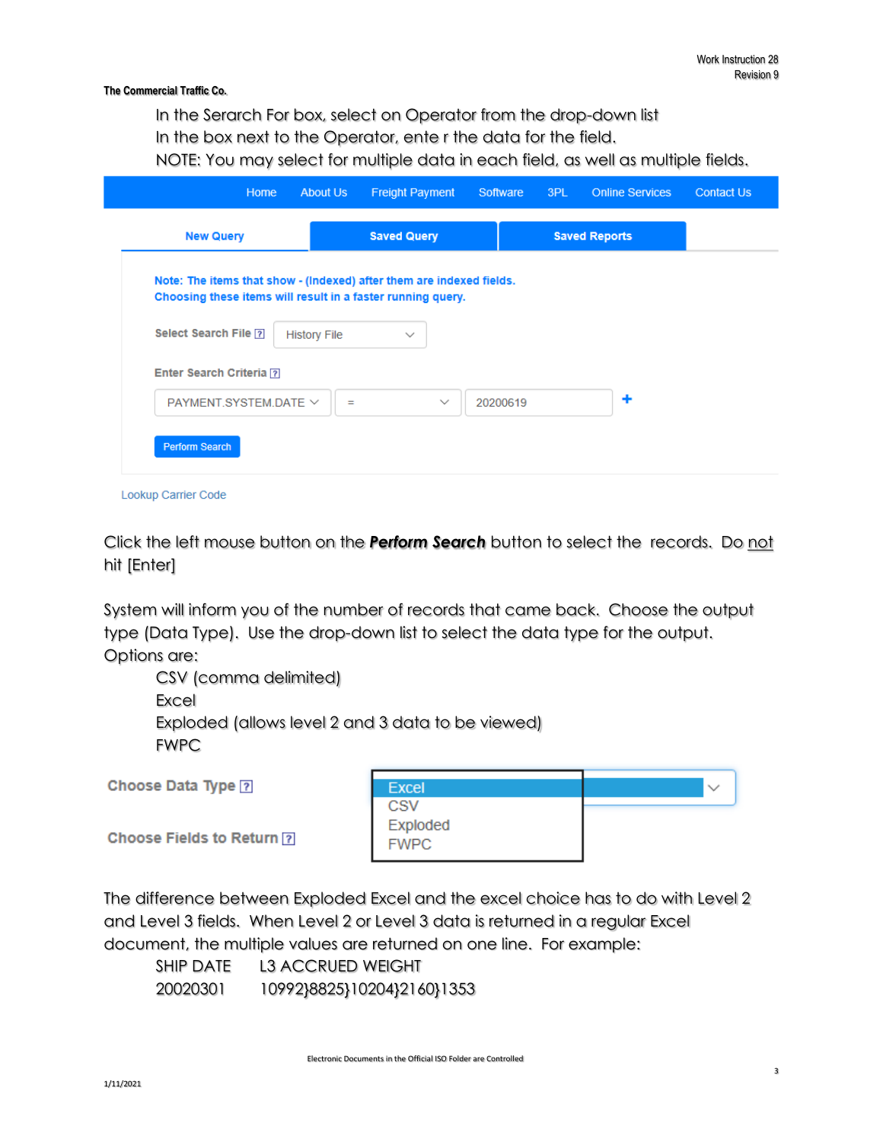**The Commercial Traffic Co.**

In the Serarch For box, select on Operator from the drop-down list

In the box next to the Operator, ente r the data for the field.

NOTE: You may select for multiple data in each field, as well as multiple fields.

| <b>New Query</b>                                                     |                     | <b>Saved Query</b>  |          | <b>Saved Reports</b> |  |
|----------------------------------------------------------------------|---------------------|---------------------|----------|----------------------|--|
| Note: The items that show - (Indexed) after them are indexed fields. |                     |                     |          |                      |  |
| Choosing these items will result in a faster running query.          |                     |                     |          |                      |  |
|                                                                      |                     |                     |          |                      |  |
| Select Search File ?                                                 | <b>History File</b> | $\checkmark$        |          |                      |  |
| Enter Search Criteria ?                                              |                     |                     |          |                      |  |
|                                                                      |                     |                     |          |                      |  |
| PAYMENT.SYSTEM.DATE V                                                |                     | $\checkmark$<br>$=$ | 20200619 | ٠                    |  |
|                                                                      |                     |                     |          |                      |  |
| <b>Perform Search</b>                                                |                     |                     |          |                      |  |

**Lookup Carrier Code** 

Click the left mouse button on the *Perform Search* button to select the records. Do not hit [Enter]

System will inform you of the number of records that came back. Choose the output type (Data Type). Use the drop-down list to select the data type for the output. Options are:

CSV (comma delimited) Excel Exploded (allows level 2 and 3 data to be viewed) FWPC

Choose Data Type ?

| <b>Excel</b> | . v |
|--------------|-----|
| CSV          |     |
| Exploded     |     |
| <b>FWPC</b>  |     |

Choose Fields to Return ?

The difference between Exploded Excel and the excel choice has to do with Level 2 and Level 3 fields. When Level 2 or Level 3 data is returned in a regular Excel document, the multiple values are returned on one line. For example:

SHIP DATE L3 ACCRUED WEIGHT 20020301 10992}8825}10204}2160}1353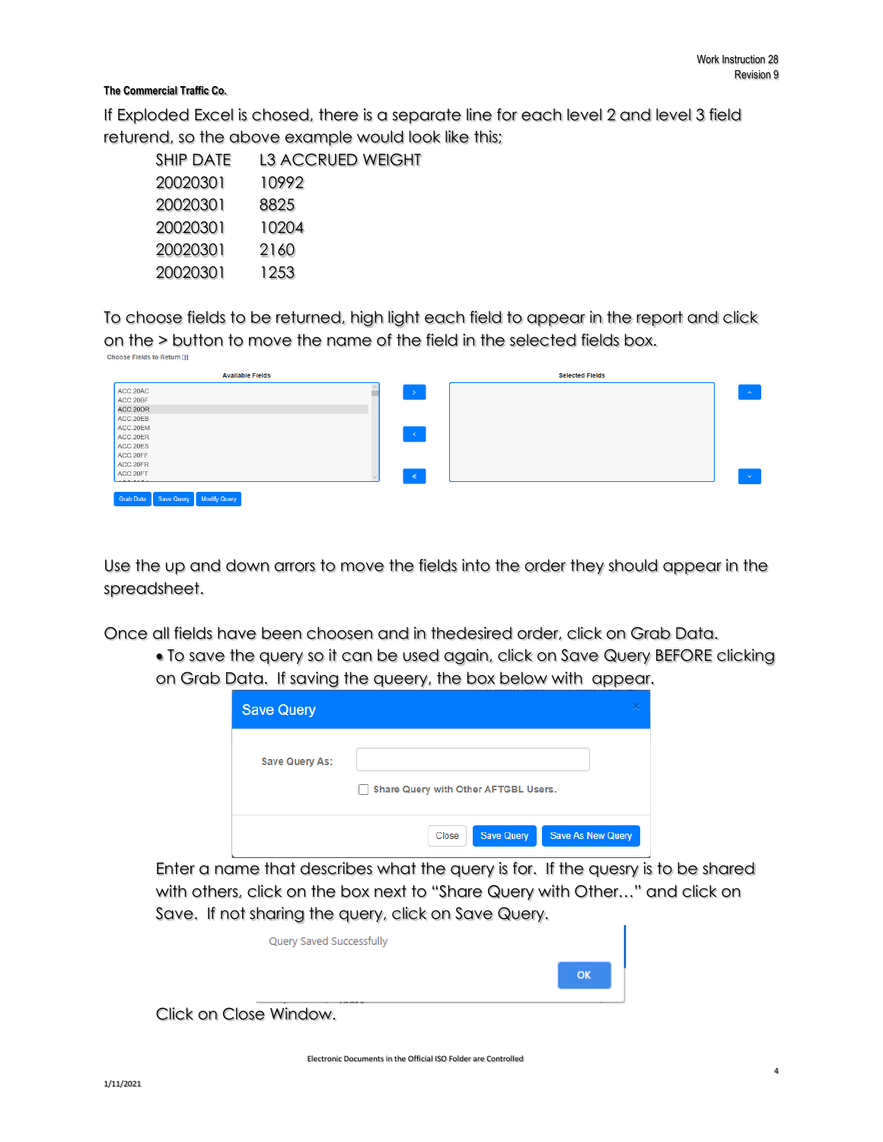4

### **The Commercial Traffic Co.**

If Exploded Excel is chosed, there is a separate line for each level 2 and level 3 field returend, so the above example would look like this;

| <b>SHIP DATE</b> | L3 ACCRUED WEIGHT |
|------------------|-------------------|
| 20020301         | 10992             |
| 20020301         | 8825              |
| 20020301         | 10204             |
| 20020301         | 2160              |
| 20020301         | 1253              |

To choose fields to be returned, high light each field to appear in the report and click on the > button to move the name of the field in the selected fields box.

| <b>Available Fields</b> |                             | <b>Selected Fields</b> |
|-------------------------|-----------------------------|------------------------|
| ACC.20AC                | $\rightarrow$               |                        |
| ACC.20BF                |                             |                        |
| ACC.20DR                |                             |                        |
| ACC.20EB                |                             |                        |
| ACC.20EM                |                             |                        |
| ACC.20ER                | $\langle \vert \vert \vert$ |                        |
| ACC.20ES                |                             |                        |
| ACC.20FF                |                             |                        |
| ACC.20FR                |                             |                        |
| ACC.20FT                | <b>Section</b>              |                        |
|                         |                             |                        |

Use the up and down arrors to move the fields into the order they should appear in the spreadsheet.

Once all fields have been choosen and in thedesired order, click on Grab Data.

• To save the query so it can be used again, click on Save Query BEFORE clicking on Grab Data. If saving the queery, the box below with appear.

| <b>Save Query</b>     | ×                                                      |
|-----------------------|--------------------------------------------------------|
| <b>Save Query As:</b> | Share Query with Other AFTGBL Users.                   |
|                       | <b>Save Query</b><br><b>Save As New Query</b><br>Close |

Enter a name that describes what the query is for. If the quesry is to be shared with others, click on the box next to "Share Query with Other…" and click on Save. If not sharing the query, click on Save Query.



Click on Close Window.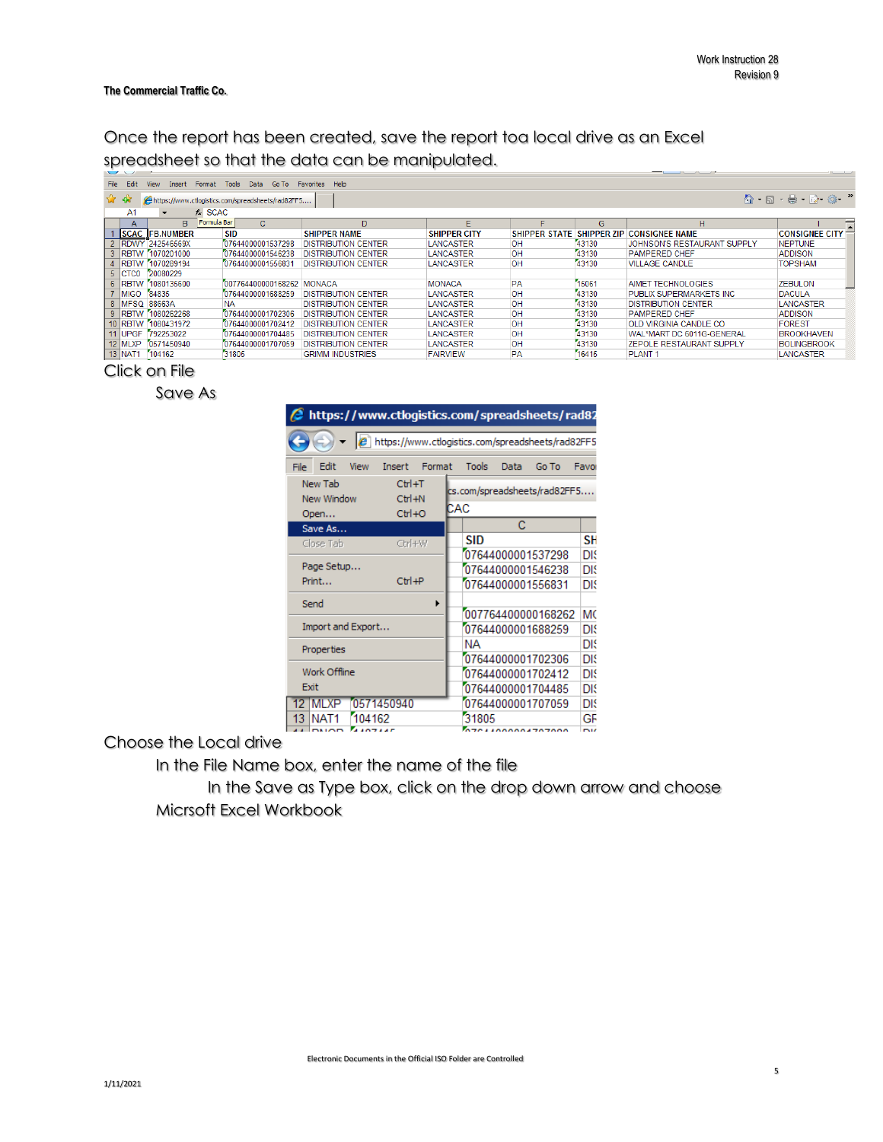Once the report has been created, save the report toa local drive as an Excel spreadsheet so that the data can be manipulated.

| Edit<br>Go To<br>Help<br>File<br>Tools<br>Format<br>Data<br>Favorites<br>Insert<br><b>View</b>                                                                                                                                                                                                                                                                                                                                                                    |                   |             |                           |                            |                     |                      |                    |                                 |                       |  |
|-------------------------------------------------------------------------------------------------------------------------------------------------------------------------------------------------------------------------------------------------------------------------------------------------------------------------------------------------------------------------------------------------------------------------------------------------------------------|-------------------|-------------|---------------------------|----------------------------|---------------------|----------------------|--------------------|---------------------------------|-----------------------|--|
| $\frac{1}{2}$<br>$\bigcirc$ $\cdot$ $\bigcirc$ $\cdot$ $\bigcirc$ $\cdot$ $\bigcirc$ $\cdot$ $\bigcirc$ $\cdot$ $\bigcirc$ $\cdot$ $\bigcirc$ $\cdot$ $\bigcirc$ $\cdot$ $\bigcirc$ $\cdot$ $\bigcirc$ $\cdot$ $\bigcirc$ $\cdot$ $\bigcirc$ $\cdot$ $\bigcirc$ $\cdot$ $\bigcirc$ $\cdot$ $\bigcirc$ $\cdot$ $\bigcirc$ $\cdot$ $\bigcirc$ $\cdot$ $\bigcirc$ $\cdot$ $\bigcirc$ $\cdot$ $\bigcirc$ $\cdot$<br>https://www.ctlogistics.com/spreadsheets/rad82FF5 |                   |             |                           |                            |                     |                      |                    |                                 |                       |  |
| $f_{x}$ SCAC<br>A <sub>1</sub>                                                                                                                                                                                                                                                                                                                                                                                                                                    |                   |             |                           |                            |                     |                      |                    |                                 |                       |  |
| A                                                                                                                                                                                                                                                                                                                                                                                                                                                                 | B.                | Formula Bar | c.                        | D.                         | F                   |                      | G                  | н                               |                       |  |
| <b>SCAC</b>                                                                                                                                                                                                                                                                                                                                                                                                                                                       | <b>FB.NUMBER</b>  | <b>SID</b>  |                           | <b>SHIPPER NAME</b>        | <b>SHIPPER CITY</b> | <b>SHIPPER STATE</b> | <b>SHIPPER ZIP</b> | <b>CONSIGNEE NAME</b>           | <b>CONSIGNEE CITY</b> |  |
|                                                                                                                                                                                                                                                                                                                                                                                                                                                                   | 2 RDWY 242546569X |             | 07644000001537298         | <b>DISTRIBUTION CENTER</b> | <b>LANCASTER</b>    | <b>OH</b>            | 43130              | JOHNSON'S RESTAURANT SUPPLY     | <b>NEPTUNE</b>        |  |
| 3 RBTW                                                                                                                                                                                                                                                                                                                                                                                                                                                            | 1070201000        |             | 07644000001546238         | <b>DISTRIBUTION CENTER</b> | <b>LANCASTER</b>    | <b>OH</b>            | 43130              | <b>PAMPERED CHEF</b>            | <b>ADDISON</b>        |  |
| 4 RBTW                                                                                                                                                                                                                                                                                                                                                                                                                                                            | 1070289194        |             | 07644000001556831         | <b>DISTRIBUTION CENTER</b> | <b>LANCASTER</b>    | <b>OH</b>            | 43130              | <b>VILLAGE CANDLE</b>           | <b>TOPSHAM</b>        |  |
| 5 CTCO                                                                                                                                                                                                                                                                                                                                                                                                                                                            | 20080229          |             |                           |                            |                     |                      |                    |                                 |                       |  |
| 6 RBTW                                                                                                                                                                                                                                                                                                                                                                                                                                                            | 1080135600        |             | 007764400000168262 MONACA |                            | <b>MONACA</b>       | PA                   | 15061              | <b>AIMET TECHNOLOGIES</b>       | <b>ZEBULON</b>        |  |
| 7 MIGO                                                                                                                                                                                                                                                                                                                                                                                                                                                            | 84835             |             | 07644000001688259         | <b>DISTRIBUTION CENTER</b> | <b>LANCASTER</b>    | <b>OH</b>            | 43130              | <b>PUBLIX SUPERMARKETS INC</b>  | <b>DACULA</b>         |  |
| 8 IMFSQ                                                                                                                                                                                                                                                                                                                                                                                                                                                           | 88663A            | <b>NA</b>   |                           | <b>DISTRIBUTION CENTER</b> | <b>LANCASTER</b>    | OH                   | 43130              | <b>DISTRIBUTION CENTER</b>      | <b>LANCASTER</b>      |  |
| 9 RBTW                                                                                                                                                                                                                                                                                                                                                                                                                                                            | 1080262268        |             | 07644000001702306         | <b>DISTRIBUTION CENTER</b> | <b>LANCASTER</b>    | <b>OH</b>            | 43130              | <b>PAMPERED CHEF</b>            | <b>ADDISON</b>        |  |
| 10 RBTW                                                                                                                                                                                                                                                                                                                                                                                                                                                           | 1080431972        |             | 07644000001702412         | <b>DISTRIBUTION CENTER</b> | <b>LANCASTER</b>    | OH                   | 43130              | <b>OLD VIRGINIA CANDLE CO</b>   | <b>FOREST</b>         |  |
| 11 UPGF                                                                                                                                                                                                                                                                                                                                                                                                                                                           | 792253022         |             | 07644000001704485         | <b>DISTRIBUTION CENTER</b> | <b>LANCASTER</b>    | OH                   | 43130              | WAL*MART DC 6011G-GENERAL       | <b>BROOKHAVEN</b>     |  |
| 12 MLXP                                                                                                                                                                                                                                                                                                                                                                                                                                                           | 0571450940        |             | 07644000001707059         | <b>DISTRIBUTION CENTER</b> | <b>LANCASTER</b>    | OH                   | 43130              | <b>ZEPOLE RESTAURANT SUPPLY</b> | <b>BOLINGBROOK</b>    |  |
| 13 NAT1                                                                                                                                                                                                                                                                                                                                                                                                                                                           | 104162            |             | 31805                     | <b>GRIMM INDUSTRIES</b>    | <b>FAIRVIEW</b>     | <b>PA</b>            | 16415              | <b>PLANT1</b>                   | LANCASTER             |  |

## Click on File

Save As

| https://www.ctlogistics.com/spreadsheets/rad82                          |                                                     |  |  |  |  |  |
|-------------------------------------------------------------------------|-----------------------------------------------------|--|--|--|--|--|
|                                                                         | e https://www.ctlogistics.com/spreadsheets/rad82FF5 |  |  |  |  |  |
| Edit<br>View<br>Format<br>Insert<br>File                                | <b>Tools</b><br>Data<br>Go To<br>Favor              |  |  |  |  |  |
| New Tab<br>$Ctrl + T$<br>$Ctrl + N$<br>New Window<br>$Ctrl + O$<br>Open | cs.com/spreadsheets/rad82FF5<br>CAC                 |  |  |  |  |  |
| Save As                                                                 | C                                                   |  |  |  |  |  |
| Ctrl+W<br>Close Tab                                                     | SID<br>SН                                           |  |  |  |  |  |
|                                                                         | 07644000001537298<br><b>DIS</b>                     |  |  |  |  |  |
| Page Setup                                                              | 07644000001546238<br>DIS.                           |  |  |  |  |  |
| $Ctrl + P$<br>Print                                                     | 07644000001556831<br><b>DK</b>                      |  |  |  |  |  |
| Send                                                                    |                                                     |  |  |  |  |  |
|                                                                         | 007764400000168262<br>MC                            |  |  |  |  |  |
| Import and Export                                                       | 07644000001688259<br>DK                             |  |  |  |  |  |
| Properties                                                              | <b>DIS</b><br>ΝA                                    |  |  |  |  |  |
|                                                                         | 07644000001702306<br>DIS.                           |  |  |  |  |  |
| Work Offline                                                            | 07644000001702412<br><b>DIS</b>                     |  |  |  |  |  |
| Exit                                                                    | <b>DIS</b><br>07644000001704485                     |  |  |  |  |  |
| 0571450940<br><b>MLXP</b>                                               | 07644000001707059<br><b>DIS</b>                     |  |  |  |  |  |
| 104162<br>13<br>NAT1                                                    | 31805<br>GF                                         |  |  |  |  |  |
| 107117                                                                  | <b>**************</b>                               |  |  |  |  |  |

Choose the Local drive

In the File Name box, enter the name of the file

In the Save as Type box, click on the drop down arrow and choose Micrsoft Excel Workbook